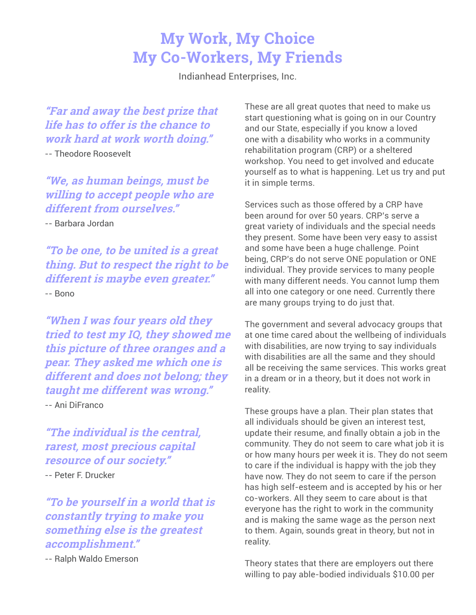## **My Work, My Choice My Co-Workers, My Friends**

Indianhead Enterprises, Inc.

**"Far and away the best prize that life has to offer is the chance to work hard at work worth doing."**

-- Theodore Roosevelt

**"We, as human beings, must be willing to accept people who are different from ourselves."** 

-- Barbara Jordan

**"To be one, to be united is a great thing. But to respect the right to be different is maybe even greater."** -- Bono

**"When I was four years old they tried to test my IQ, they showed me this picture of three oranges and a pear. They asked me which one is different and does not belong; they taught me different was wrong."** -- Ani DiFranco

**"The individual is the central, rarest, most precious capital resource of our society."**

-- Peter F. Drucker

**"To be yourself in a world that is constantly trying to make you something else is the greatest accomplishment."** 

-- Ralph Waldo Emerson

These are all great quotes that need to make us start questioning what is going on in our Country and our State, especially if you know a loved one with a disability who works in a community rehabilitation program (CRP) or a sheltered workshop. You need to get involved and educate yourself as to what is happening. Let us try and put it in simple terms.

Services such as those offered by a CRP have been around for over 50 years. CRP's serve a great variety of individuals and the special needs they present. Some have been very easy to assist and some have been a huge challenge. Point being, CRP's do not serve ONE population or ONE individual. They provide services to many people with many different needs. You cannot lump them all into one category or one need. Currently there are many groups trying to do just that.

The government and several advocacy groups that at one time cared about the wellbeing of individuals with disabilities, are now trying to say individuals with disabilities are all the same and they should all be receiving the same services. This works great in a dream or in a theory, but it does not work in reality.

These groups have a plan. Their plan states that all individuals should be given an interest test, update their resume, and finally obtain a job in the community. They do not seem to care what job it is or how many hours per week it is. They do not seem to care if the individual is happy with the job they have now. They do not seem to care if the person has high self-esteem and is accepted by his or her co-workers. All they seem to care about is that everyone has the right to work in the community and is making the same wage as the person next to them. Again, sounds great in theory, but not in reality.

Theory states that there are employers out there willing to pay able-bodied individuals \$10.00 per